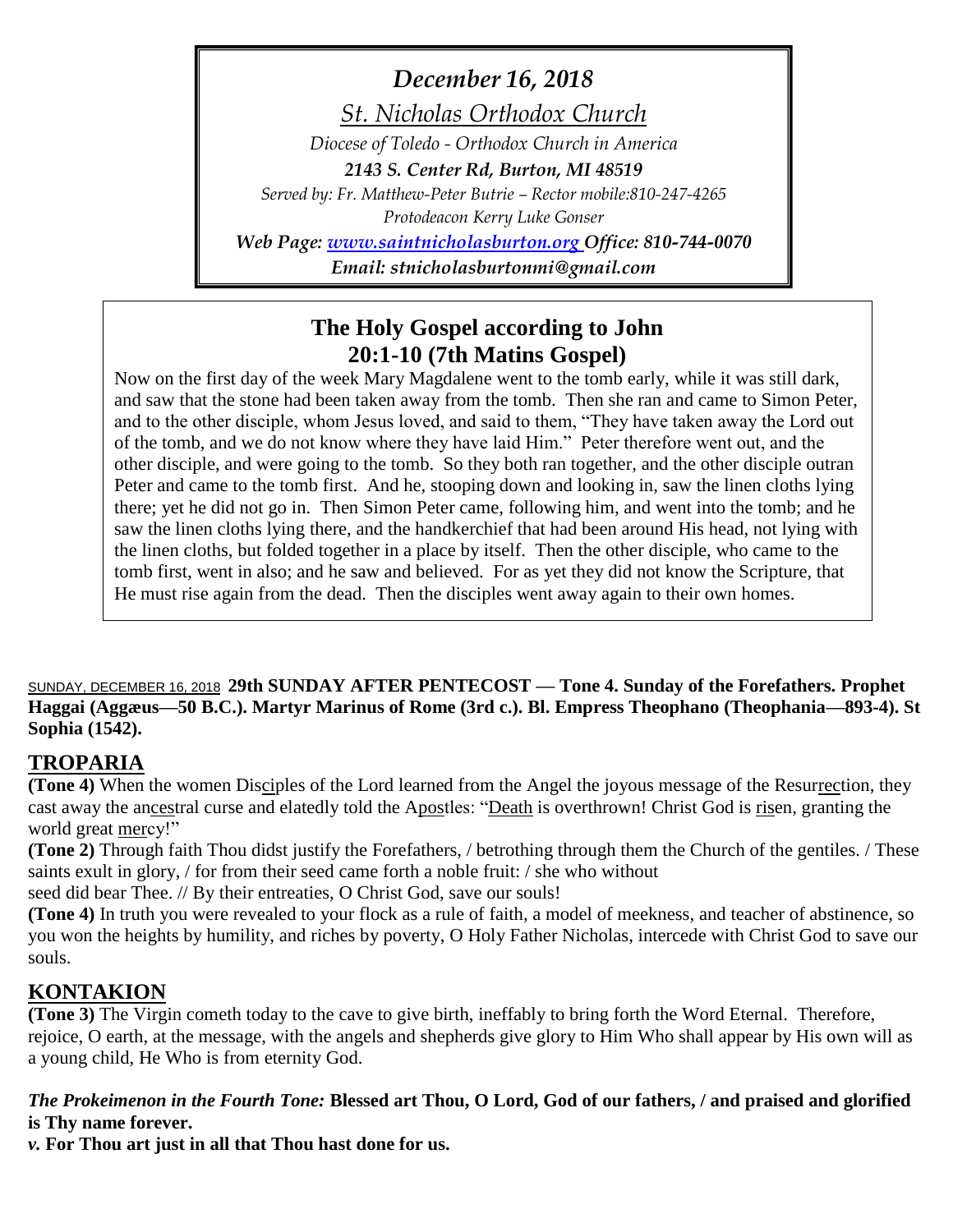*December 16, 2018*

*St. Nicholas Orthodox Church*

*Diocese of Toledo - Orthodox Church in America*

*2143 S. Center Rd, Burton, MI 48519*

*Served by: Fr. Matthew-Peter Butrie – Rector mobile:810-247-4265*

*Protodeacon Kerry Luke Gonser*

*Web Page: [www.saintnicholasburton.org](http://www.saintnicholasburton.org/) Office: 810-744-0070*

*Email: stnicholasburtonmi@gmail.com*

## **The Holy Gospel according to John 20:1-10 (7th Matins Gospel)**

Now on the first day of the week Mary Magdalene went to the tomb early, while it was still dark, and saw that the stone had been taken away from the tomb. Then she ran and came to Simon Peter, and to the other disciple, whom Jesus loved, and said to them, "They have taken away the Lord out of the tomb, and we do not know where they have laid Him." Peter therefore went out, and the other disciple, and were going to the tomb. So they both ran together, and the other disciple outran Peter and came to the tomb first. And he, stooping down and looking in, saw the linen cloths lying there; yet he did not go in. Then Simon Peter came, following him, and went into the tomb; and he saw the linen cloths lying there, and the handkerchief that had been around His head, not lying with the linen cloths, but folded together in a place by itself. Then the other disciple, who came to the tomb first, went in also; and he saw and believed. For as yet they did not know the Scripture, that He must rise again from the dead. Then the disciples went away again to their own homes.

SUNDAY, DECEMBER 16, 2018 **29th SUNDAY AFTER PENTECOST — Tone 4. Sunday of the Forefathers. Prophet Haggai (Aggæus—50 B.C.). Martyr Marinus of Rome (3rd c.). Bl. Empress Theophano (Theophania—893-4). St Sophia (1542).**

### **TROPARIA**

**(Tone 4)** When the women Disciples of the Lord learned from the Angel the joyous message of the Resurrection, they cast away the ancestral curse and elatedly told the Apostles: "Death is overthrown! Christ God is risen, granting the world great mercy!"

**(Tone 2)** Through faith Thou didst justify the Forefathers, / betrothing through them the Church of the gentiles. / These saints exult in glory, / for from their seed came forth a noble fruit: / she who without

seed did bear Thee. // By their entreaties, O Christ God, save our souls!

**(Tone 4)** In truth you were revealed to your flock as a rule of faith, a model of meekness, and teacher of abstinence, so you won the heights by humility, and riches by poverty, O Holy Father Nicholas, intercede with Christ God to save our souls.

## **KONTAKION**

**(Tone 3)** The Virgin cometh today to the cave to give birth, ineffably to bring forth the Word Eternal. Therefore, rejoice, O earth, at the message, with the angels and shepherds give glory to Him Who shall appear by His own will as a young child, He Who is from eternity God.

*The Prokeimenon in the Fourth Tone:* **Blessed art Thou, O Lord, God of our fathers, / and praised and glorified is Thy name forever.**

*v.* **For Thou art just in all that Thou hast done for us.**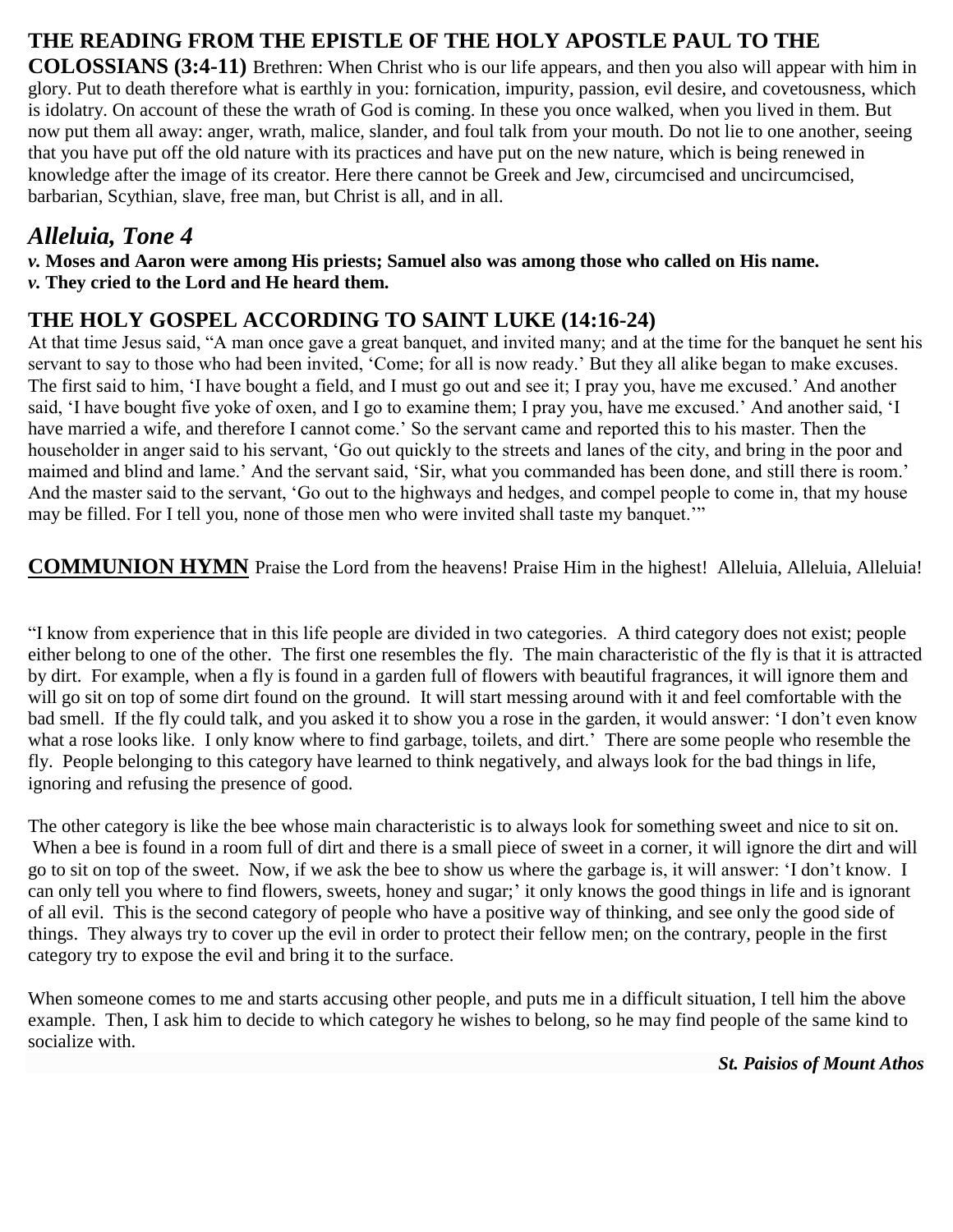# **THE READING FROM THE EPISTLE OF THE HOLY APOSTLE PAUL TO THE**

**COLOSSIANS (3:4-11)** Brethren: When Christ who is our life appears, and then you also will appear with him in glory. Put to death therefore what is earthly in you: fornication, impurity, passion, evil desire, and covetousness, which is idolatry. On account of these the wrath of God is coming. In these you once walked, when you lived in them. But now put them all away: anger, wrath, malice, slander, and foul talk from your mouth. Do not lie to one another, seeing that you have put off the old nature with its practices and have put on the new nature, which is being renewed in knowledge after the image of its creator. Here there cannot be Greek and Jew, circumcised and uncircumcised, barbarian, Scythian, slave, free man, but Christ is all, and in all.

## *Alleluia, Tone 4*

*v.* **Moses and Aaron were among His priests; Samuel also was among those who called on His name.** *v.* **They cried to the Lord and He heard them.**

### **THE HOLY GOSPEL ACCORDING TO SAINT LUKE (14:16-24)**

At that time Jesus said, "A man once gave a great banquet, and invited many; and at the time for the banquet he sent his servant to say to those who had been invited, 'Come; for all is now ready.' But they all alike began to make excuses. The first said to him, 'I have bought a field, and I must go out and see it; I pray you, have me excused.' And another said, 'I have bought five yoke of oxen, and I go to examine them; I pray you, have me excused.' And another said, 'I have married a wife, and therefore I cannot come.' So the servant came and reported this to his master. Then the householder in anger said to his servant, 'Go out quickly to the streets and lanes of the city, and bring in the poor and maimed and blind and lame.' And the servant said, 'Sir, what you commanded has been done, and still there is room.' And the master said to the servant, 'Go out to the highways and hedges, and compel people to come in, that my house may be filled. For I tell you, none of those men who were invited shall taste my banquet.'"

**COMMUNION HYMN** Praise the Lord from the heavens! Praise Him in the highest! Alleluia, Alleluia, Alleluia!

"I know from experience that in this life people are divided in two categories. A third category does not exist; people either belong to one of the other. The first one resembles the fly. The main characteristic of the fly is that it is attracted by dirt. For example, when a fly is found in a garden full of flowers with beautiful fragrances, it will ignore them and will go sit on top of some dirt found on the ground. It will start messing around with it and feel comfortable with the bad smell. If the fly could talk, and you asked it to show you a rose in the garden, it would answer: 'I don't even know what a rose looks like. I only know where to find garbage, toilets, and dirt.' There are some people who resemble the fly. People belonging to this category have learned to think negatively, and always look for the bad things in life, ignoring and refusing the presence of good.

The other category is like the bee whose main characteristic is to always look for something sweet and nice to sit on. When a bee is found in a room full of dirt and there is a small piece of sweet in a corner, it will ignore the dirt and will go to sit on top of the sweet. Now, if we ask the bee to show us where the garbage is, it will answer: 'I don't know. I can only tell you where to find flowers, sweets, honey and sugar;' it only knows the good things in life and is ignorant of all evil. This is the second category of people who have a positive way of thinking, and see only the good side of things. They always try to cover up the evil in order to protect their fellow men; on the contrary, people in the first category try to expose the evil and bring it to the surface.

When someone comes to me and starts accusing other people, and puts me in a difficult situation, I tell him the above example. Then, I ask him to decide to which category he wishes to belong, so he may find people of the same kind to socialize with.

*St. Paisios of Mount Athos*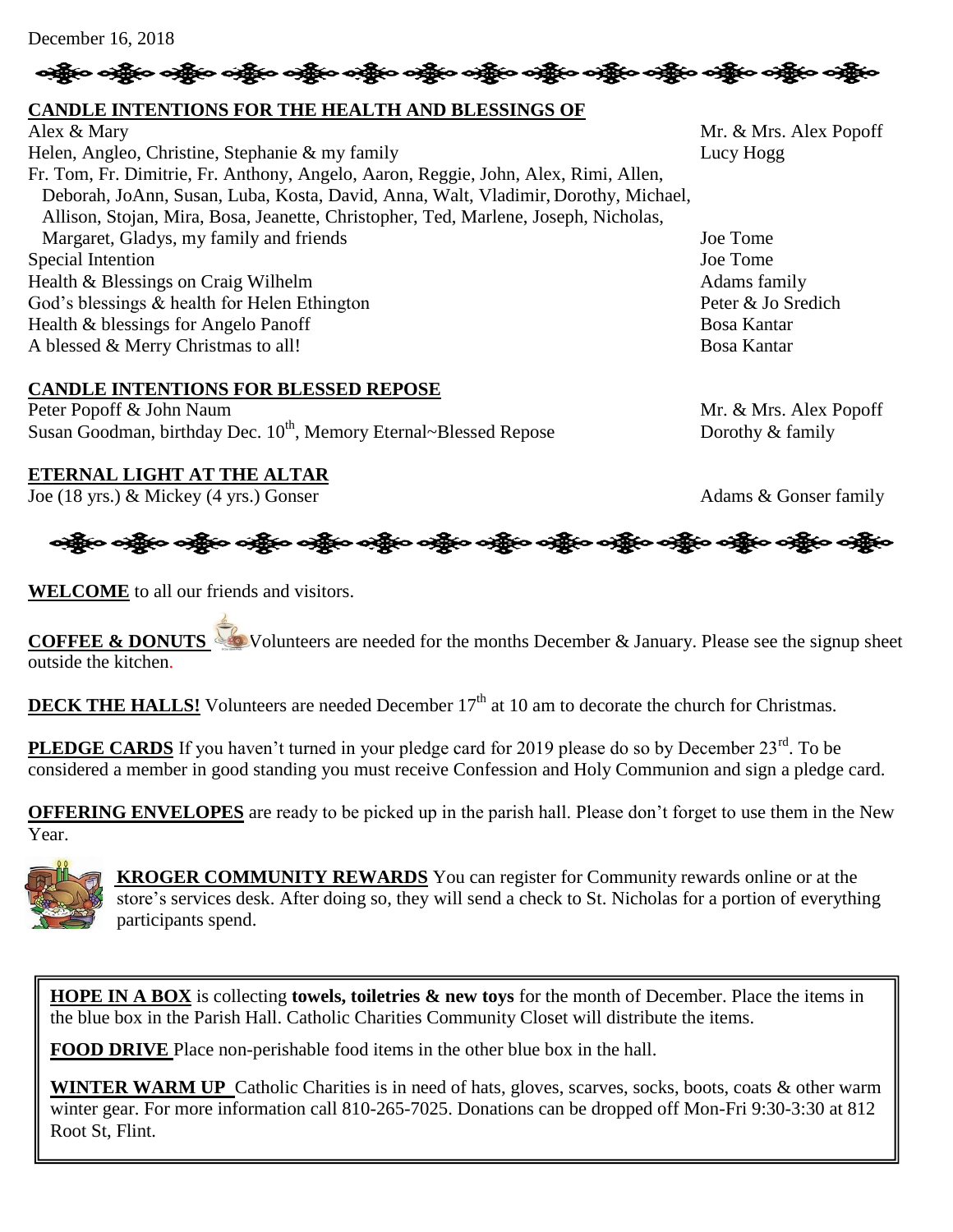December 16, 2018

# ခရွိက ခရွိက ခရွိက အိုင်း ပါးသား သို့မှာ ခရွိက ခရွိက ခရွိက ခရွိက ခရွိက ခရွိက ခရွိက ခရွိက ခရွိက ခရွိက

### **CANDLE INTENTIONS FOR THE HEALTH AND BLESSINGS OF**

Alex & Mary Mr. & Mrs. Alex Popoff Helen, Angleo, Christine, Stephanie & my family Lucy Hogg Lucy Hogg Fr. Tom, Fr. Dimitrie, Fr. Anthony, Angelo, Aaron, Reggie, John, Alex, Rimi, Allen, Deborah, JoAnn, Susan, Luba, Kosta, David, Anna, Walt, Vladimir, Dorothy, Michael, Allison, Stojan, Mira, Bosa, Jeanette, Christopher, Ted, Marlene, Joseph, Nicholas, Margaret, Gladys, my family and friends Joe Tome Special Intention Joe Tome Health & Blessings on Craig Wilhelm Adams family God's blessings & health for Helen Ethington Peter & Jo Sredich Health & blessings for Angelo Panoff Bosa Kantar A blessed & Merry Christmas to all! Bosa Kantar

#### **CANDLE INTENTIONS FOR BLESSED REPOSE**

Peter Popoff & John Naum Mr. & Mrs. Alex Popoff Susan Goodman, birthday Dec.  $10^{th}$ , Memory Eternal~Blessed Repose Dorothy & family

#### **ETERNAL LIGHT AT THE ALTAR**

Joe (18 yrs.) & Mickey (4 yrs.) Gonser Adams & Gonser family



**WELCOME** to all our friends and visitors.

**COFFEE & DONUTS** Volunteers are needed for the months December & January. Please see the signup sheet outside the kitchen.

**DECK THE HALLS!** Volunteers are needed December 17<sup>th</sup> at 10 am to decorate the church for Christmas.

PLEDGE CARDS If you haven't turned in your pledge card for 2019 please do so by December 23<sup>rd</sup>. To be considered a member in good standing you must receive Confession and Holy Communion and sign a pledge card.

**OFFERING ENVELOPES** are ready to be picked up in the parish hall. Please don't forget to use them in the New Year.



 **KROGER COMMUNITY REWARDS** You can register for Community rewards online or at the store's services desk. After doing so, they will send a check to St. Nicholas for a portion of everything participants spend.

**HOPE IN A BOX** is collecting **towels, toiletries & new toys** for the month of December. Place the items in the blue box in the Parish Hall. Catholic Charities Community Closet will distribute the items.

**FOOD DRIVE** Place non-perishable food items in the other blue box in the hall.

**WINTER WARM UP** Catholic Charities is in need of hats, gloves, scarves, socks, boots, coats & other warm winter gear. For more information call 810-265-7025. Donations can be dropped off Mon-Fri 9:30-3:30 at 812 Root St, Flint.